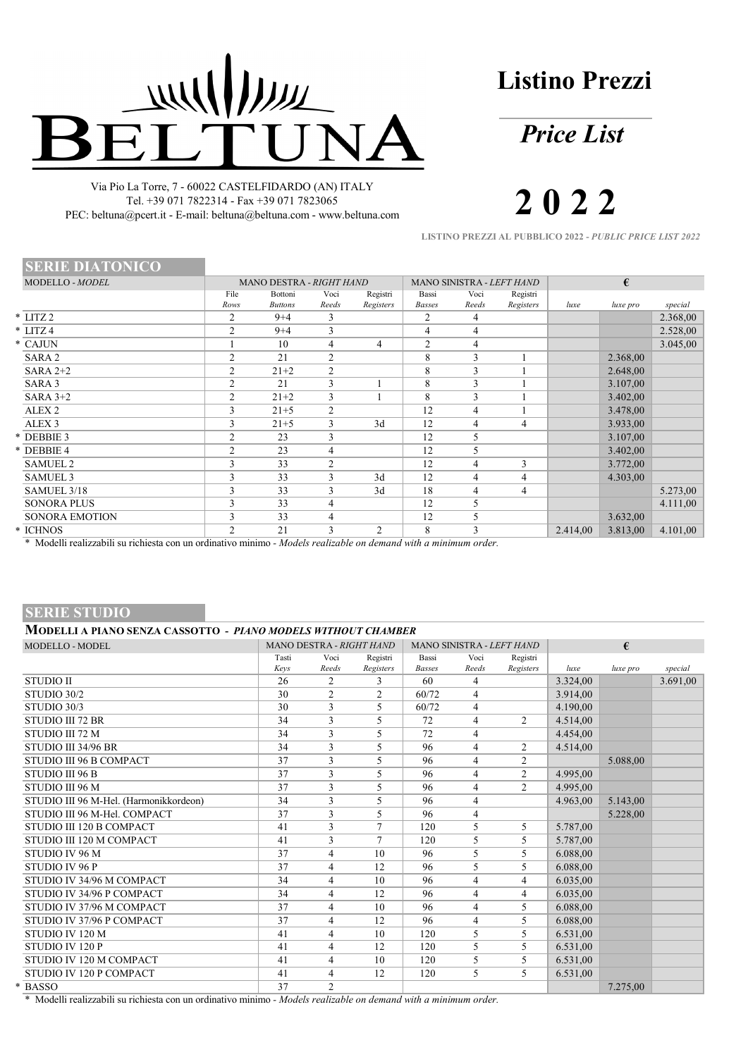# WILLIAM  $\exists$

Via Pio La Torre, 7 - 60022 CASTELFIDARDO (AN) ITALY Tel. +39 071 7822314 - Fax +39 071 7823065 PEC: beltuna@pcert.it - E-mail: beltuna@beltuna.com - www.beltuna.com **Listino Prezzi**

*Price List*

**2 0 2 2**

**LISTINO PREZZI AL PUBBLICO 2022 -** *PUBLIC PRICE LIST 2022*

| <b>SERIE DIATONICO</b> |                |                           |               |                       |                        |                           |                       |          |          |          |  |
|------------------------|----------------|---------------------------|---------------|-----------------------|------------------------|---------------------------|-----------------------|----------|----------|----------|--|
| MODELLO - MODEL        |                | MANO DESTRA - RIGHT HAND  |               |                       |                        | MANO SINISTRA - LEFT HAND |                       |          | €        |          |  |
|                        | File<br>Rows   | Bottoni<br><b>Buttons</b> | Voci<br>Reeds | Registri<br>Registers | Bassi<br><b>Basses</b> | Voci<br>Reeds             | Registri<br>Registers | luxe     | luxe pro | special  |  |
| $*$ LITZ 2             | 2              | $9 + 4$                   | 3             |                       | 2                      | 4                         |                       |          |          | 2.368,00 |  |
| $* LITZ 4$             | 2              | $9 + 4$                   | 3             |                       | 4                      | 4                         |                       |          |          | 2.528,00 |  |
| * CAJUN                |                | 10                        | 4             | 4                     | 2                      | 4                         |                       |          |          | 3.045,00 |  |
| SARA 2                 | 2              | 21                        | 2             |                       | 8                      | 3                         |                       |          | 2.368,00 |          |  |
| SARA $2+2$             | 2              | $21 + 2$                  | 2             |                       | 8                      | 3                         |                       |          | 2.648,00 |          |  |
| SARA <sub>3</sub>      | 2              | 21                        | 3             |                       | 8                      | 3                         |                       |          | 3.107,00 |          |  |
| SARA $3+2$             | 2              | $21 + 2$                  | 3             |                       | 8                      | 3                         |                       |          | 3.402,00 |          |  |
| ALEX <sub>2</sub>      | 3              | $21 + 5$                  | 2             |                       | 12                     | 4                         |                       |          | 3.478,00 |          |  |
| ALEX <sub>3</sub>      | 3              | $21 + 5$                  | 3             | 3d                    | 12                     | 4                         | $\overline{4}$        |          | 3.933,00 |          |  |
| * DEBBIE 3             | $\overline{2}$ | 23                        | 3             |                       | 12                     | 5                         |                       |          | 3.107,00 |          |  |
| * DEBBIE 4             | 2              | 23                        | 4             |                       | 12                     | 5                         |                       |          | 3.402,00 |          |  |
| <b>SAMUEL 2</b>        | 3              | 33                        | 2             |                       | 12                     | 4                         | 3                     |          | 3.772,00 |          |  |
| <b>SAMUEL 3</b>        | 3              | 33                        | 3             | 3d                    | 12                     | 4                         | 4                     |          | 4.303,00 |          |  |
| SAMUEL 3/18            | 3              | 33                        | 3             | 3d                    | 18                     | 4                         | 4                     |          |          | 5.273,00 |  |
| <b>SONORA PLUS</b>     | 3              | 33                        | 4             |                       | 12                     | 5                         |                       |          |          | 4.111,00 |  |
| <b>SONORA EMOTION</b>  | 3              | 33                        | 4             |                       | 12                     | 5                         |                       |          | 3.632,00 |          |  |
| * ICHNOS               | $\overline{2}$ | 21                        | 3             | $\overline{2}$        | 8                      | 3                         |                       | 2.414,00 | 3.813,00 | 4.101,00 |  |

\* Modelli realizzabili su richiesta con un ordinativo minimo *- Models realizable on demand with a minimum order.*

# **SERIE STUDIO**

| <b>MODELLO - MODEL</b>                 |       | MANO DESTRA - RIGHT HAND |           |               |                | MANO SINISTRA - LEFT HAND |          | €        |          |
|----------------------------------------|-------|--------------------------|-----------|---------------|----------------|---------------------------|----------|----------|----------|
|                                        | Tasti | Voci                     | Registri  | Bassi         | Voci           | Registri                  |          |          |          |
|                                        | Kevs  | Reeds                    | Registers | <b>Basses</b> | Reeds          | Registers                 | luxe     | luxe pro | special  |
| <b>STUDIO II</b>                       | 26    | 2                        | 3         | 60            | 4              |                           | 3.324,00 |          | 3.691,00 |
| STUDIO 30/2                            | 30    | 2                        | 2         | 60/72         | $\overline{4}$ |                           | 3.914,00 |          |          |
| STUDIO 30/3                            | 30    | 3                        | 5         | 60/72         | 4              |                           | 4.190,00 |          |          |
| STUDIO III 72 BR                       | 34    | 3                        | 5         | 72            | 4              | $\overline{2}$            | 4.514,00 |          |          |
| STUDIO III 72 M                        | 34    | 3                        | 5         | 72            | 4              |                           | 4.454,00 |          |          |
| STUDIO III 34/96 BR                    | 34    | 3                        | 5         | 96            | $\overline{4}$ | 2                         | 4.514,00 |          |          |
| STUDIO III 96 B COMPACT                | 37    | 3                        | 5         | 96            | 4              | $\overline{2}$            |          | 5.088,00 |          |
| STUDIO III 96 B                        | 37    | 3                        | 5         | 96            | 4              | $\overline{2}$            | 4.995,00 |          |          |
| STUDIO III 96 M                        | 37    | 3                        | 5         | 96            | 4              | $\overline{2}$            | 4.995,00 |          |          |
| STUDIO III 96 M-Hel. (Harmonikkordeon) | 34    | 3                        | 5         | 96            | 4              |                           | 4.963,00 | 5.143,00 |          |
| STUDIO III 96 M-Hel. COMPACT           | 37    | 3                        | 5         | 96            | 4              |                           |          | 5.228,00 |          |
| STUDIO III 120 B COMPACT               | 41    | 3                        | 7         | 120           | 5              | 5                         | 5.787,00 |          |          |
| STUDIO III 120 M COMPACT               | 41    | 3                        | $\tau$    | 120           | 5              | 5                         | 5.787,00 |          |          |
| STUDIO IV 96 M                         | 37    | $\overline{4}$           | 10        | 96            | 5              | 5                         | 6.088,00 |          |          |
| STUDIO IV 96 P                         | 37    | 4                        | 12        | 96            | 5.             | 5                         | 6.088,00 |          |          |
| STUDIO IV 34/96 M COMPACT              | 34    | 4                        | 10        | 96            | $\overline{4}$ | $\overline{4}$            | 6.035,00 |          |          |
| STUDIO IV 34/96 P COMPACT              | 34    | $\overline{4}$           | 12        | 96            | 4              | $\overline{4}$            | 6.035,00 |          |          |
| STUDIO IV 37/96 M COMPACT              | 37    | $\overline{4}$           | 10        | 96            | 4              | 5                         | 6.088,00 |          |          |
| STUDIO IV 37/96 P COMPACT              | 37    | 4                        | 12        | 96            | $\overline{4}$ | 5                         | 6.088,00 |          |          |
| STUDIO IV 120 M                        | 41    | $\overline{4}$           | 10        | 120           | 5              | 5                         | 6.531,00 |          |          |
| STUDIO IV 120 P                        | 41    | 4                        | 12        | 120           | 5              | 5                         | 6.531,00 |          |          |
| STUDIO IV 120 M COMPACT                | 41    | 4                        | 10        | 120           | 5              | 5                         | 6.531,00 |          |          |
| STUDIO IV 120 P COMPACT                | 41    | $\overline{4}$           | 12        | 120           | 5              | 5                         | 6.531,00 |          |          |
| * BASSO                                | 37    | 2                        |           |               |                |                           |          | 7.275,00 |          |

\* Modelli realizzabili su richiesta con un ordinativo minimo *- Models realizable on demand with a minimum order.*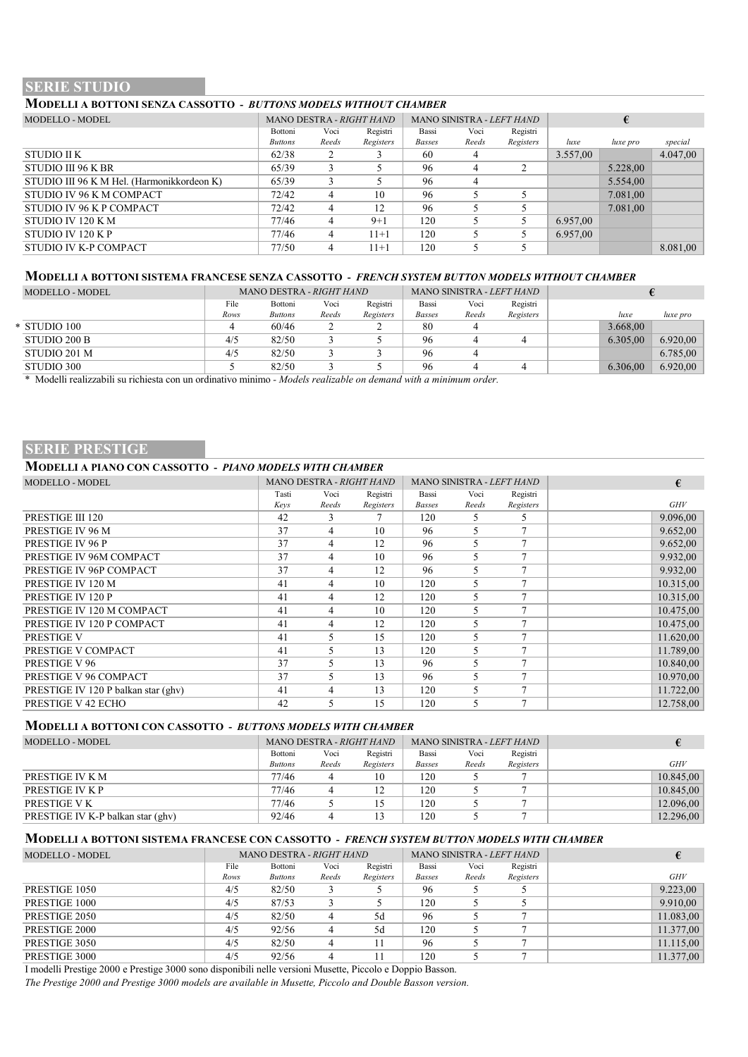# **SERIE STUDIO**

# **MODELLI A BOTTONI SENZA CASSOTTO -** *BUTTONS MODELS WITHOUT CHAMBER*

| MODELLO - MODEL                            | MANO SINISTRA - LEFT HAND<br>MANO DESTRA - RIGHT HAND |       | €         |               |       |           |          |          |          |
|--------------------------------------------|-------------------------------------------------------|-------|-----------|---------------|-------|-----------|----------|----------|----------|
|                                            | Bottoni                                               | Voci  | Registri  | Bassi         | Voci  | Registri  |          |          |          |
|                                            | <b>Buttons</b>                                        | Reeds | Registers | <b>Basses</b> | Reeds | Registers | luxe     | luxe pro | special  |
| STUDIO II K                                | 62/38                                                 |       |           | 60            |       |           | 3.557,00 |          | 4.047,00 |
| STUDIO III 96 K BR                         | 65/39                                                 |       |           | 96            | 4     |           |          | 5.228,00 |          |
| STUDIO III 96 K M Hel. (Harmonikkordeon K) | 65/39                                                 |       |           | 96            | 4     |           |          | 5.554,00 |          |
| STUDIO IV 96 K M COMPACT                   | 72/42                                                 | 4     | 10        | 96            |       |           |          | 7.081.00 |          |
| STUDIO IV 96 K P COMPACT                   | 72/42                                                 | 4     | 12        | 96            |       |           |          | 7.081,00 |          |
| STUDIO IV 120 KM                           | 77/46                                                 | 4     | $9+1$     | 120           |       |           | 6.957,00 |          |          |
| STUDIO IV 120 KP                           | 77/46                                                 |       | $11+1$    | 120           |       |           | 6.957,00 |          |          |
| STUDIO IV K-P COMPACT                      | 77/50                                                 |       | $11+1$    | 120           |       |           |          |          | 8.081,00 |

### **MODELLI A BOTTONI SISTEMA FRANCESE SENZA CASSOTTO -** *FRENCH SYSTEM BUTTON MODELS WITHOUT CHAMBER*

| MODELLO - MODEL |      | MANO DESTRA - RIGHT HAND |       |           |               |       | MANO SINISTRA <i>- LEFT HAND</i> |          |          |
|-----------------|------|--------------------------|-------|-----------|---------------|-------|----------------------------------|----------|----------|
|                 | File | Bottoni                  | Voci  | Registri  | Bassi         | Voci  | Registri                         |          |          |
|                 | Rows | <b>Buttons</b>           | Reeds | Registers | <b>Basses</b> | Reeds | Registers                        | luxe     | luxe pro |
| * STUDIO 100    |      | 60/46                    |       |           | 80            |       |                                  | 3.668,00 |          |
| STUDIO 200 B    | 4/5  | 82/50                    |       |           | 96            |       |                                  | 6.305,00 | 6.920,00 |
| STUDIO 201 M    | 4/5  | 82/50                    |       |           | 96            |       |                                  |          | 6.785.00 |
| STUDIO 300      |      | 82/50                    |       |           | 96            |       |                                  | 6.306.00 | 6.920,00 |

\* Modelli realizzabili su richiesta con un ordinativo minimo *- Models realizable on demand with a minimum order.*

# **SERIE PRESTIGE**

## **MODELLI A PIANO CON CASSOTTO -** *PIANO MODELS WITH CHAMBER*

| <b>MODELLO - MODEL</b>              |       | MANO DESTRA - RIGHT HAND |           |               | MANO SINISTRA - LEFT HAND |              | €         |
|-------------------------------------|-------|--------------------------|-----------|---------------|---------------------------|--------------|-----------|
|                                     | Tasti | Voci                     | Registri  | Bassi         | Voci                      | Registri     |           |
|                                     | Kevs  | Reeds                    | Registers | <b>Basses</b> | Reeds                     | Registers    | GHV       |
| PRESTIGE III 120                    | 42    | 3                        |           | 120           | 5                         | 5            | 9.096,00  |
| PRESTIGE IV 96 M                    | 37    | 4                        | 10        | 96            | 5                         |              | 9.652,00  |
| PRESTIGE IV 96 P                    | 37    | 4                        | 12        | 96            | 5                         |              | 9.652,00  |
| PRESTIGE IV 96M COMPACT             | 37    | 4                        | 10        | 96            | 5                         |              | 9.932,00  |
| PRESTIGE IV 96P COMPACT             | 37    | 4                        | 12        | 96            | 5                         |              | 9.932,00  |
| PRESTIGE IV 120 M                   | 41    | 4                        | 10        | 120           | 5                         | $\mathbf{r}$ | 10.315,00 |
| PRESTIGE IV 120 P                   | 41    | 4                        | 12        | 120           | 5                         |              | 10.315,00 |
| PRESTIGE IV 120 M COMPACT           | 41    | 4                        | 10        | 120           | 5                         |              | 10.475,00 |
| PRESTIGE IV 120 P COMPACT           | 41    | 4                        | 12        | 120           | 5                         |              | 10.475,00 |
| <b>PRESTIGE V</b>                   | 41    | 5                        | 15        | 120           | 5                         |              | 11.620,00 |
| PRESTIGE V COMPACT                  | 41    | 5.                       | 13        | 120           | 5                         | 7            | 11.789,00 |
| PRESTIGE V 96                       | 37    | 5                        | 13        | 96            | 5                         |              | 10.840,00 |
| PRESTIGE V 96 COMPACT               | 37    | 5                        | 13        | 96            | 5                         |              | 10.970.00 |
| PRESTIGE IV 120 P balkan star (ghv) | 41    | 4                        | 13        | 120           | 5                         | 7            | 11.722,00 |
| PRESTIGE V 42 ECHO                  | 42    | 5                        | 15        | 120           | 5                         | $\mathbf{r}$ | 12.758,00 |

#### **MODELLI A BOTTONI CON CASSOTTO -** *BUTTONS MODELS WITH CHAMBER*

| MODELLO - MODEL                   | MANO DESTRA - RIGHT HAND |       |           |               | MANO SINISTRA - <i>LEFT HAND</i> |           |            |
|-----------------------------------|--------------------------|-------|-----------|---------------|----------------------------------|-----------|------------|
|                                   | Bottoni                  | Voci  | Registri  | Bassi         | Voci                             | Registri  |            |
|                                   | <b>Buttons</b>           | Reeds | Registers | <b>Basses</b> | Reeds                            | Registers | <b>GHV</b> |
| PRESTIGE IV K M                   | 77/46                    |       | 10        | 120           |                                  |           | 10.845.00  |
| PRESTIGE IV K P                   | 77/46                    |       |           | 120           |                                  |           | 10.845.00  |
| PRESTIGE V K                      | 77/46                    |       |           | 120           |                                  |           | 12.096,00  |
| PRESTIGE IV K-P balkan star (ghv) | 92/46                    |       |           | 120           |                                  |           | 12.296,00  |

#### **MODELLI A BOTTONI SISTEMA FRANCESE CON CASSOTTO -** *FRENCH SYSTEM BUTTON MODELS WITH CHAMBER*

| <b>MODELLO - MODEL</b> |      | MANO DESTRA - RIGHT HAND |       |           |               |       | MANO SINISTRA - LEFT HAND |           |
|------------------------|------|--------------------------|-------|-----------|---------------|-------|---------------------------|-----------|
|                        | File | Bottoni                  | Voci  | Registri  | Bassi         | Voci  | Registri                  |           |
|                        | Rows | <b>Buttons</b>           | Reeds | Registers | <b>Basses</b> | Reeds | Registers                 | GHV       |
| PRESTIGE 1050          | 4/5  | 82/50                    |       |           | 96            |       |                           | 9.223,00  |
| PRESTIGE 1000          | 4/5  | 87/53                    |       |           | 120           |       |                           | 9.910,00  |
| PRESTIGE 2050          | 4/5  | 82/50                    |       | 5d        | 96            |       |                           | 11.083,00 |
| PRESTIGE 2000          | 4/5  | 92/56                    |       | 5d        | 120           |       |                           | 11.377,00 |
| PRESTIGE 3050          | 4/5  | 82/50                    |       |           | 96            |       |                           | 11.115.00 |
| PRESTIGE 3000          | 4/5  | 92/56                    |       |           | 120           |       |                           | 11.377,00 |

I modelli Prestige 2000 e Prestige 3000 sono disponibili nelle versioni Musette, Piccolo e Doppio Basson.

*The Prestige 2000 and Prestige 3000 models are available in Musette, Piccolo and Double Basson version.*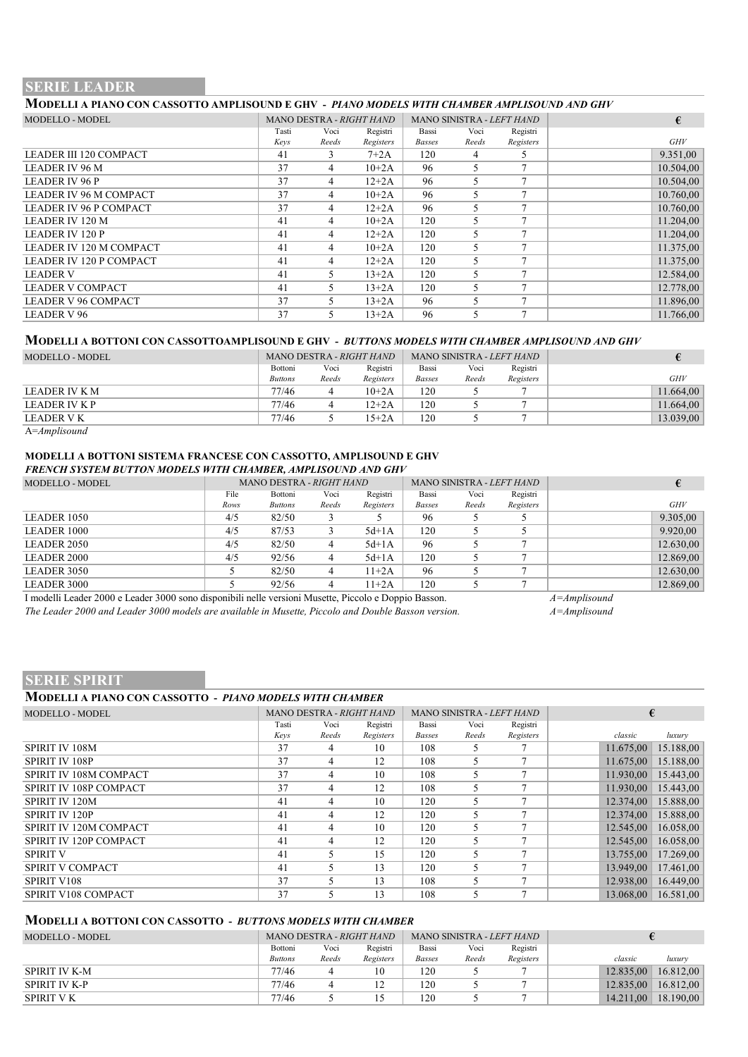# **SERIE LEADER**

# **MODELLI A PIANO CON CASSOTTO AMPLISOUND E GHV -** *PIANO MODELS WITH CHAMBER AMPLISOUND AND GHV*

| <b>MODELLO - MODEL</b>         |       | MANO DESTRA - RIGHT HAND |           |               | MANO SINISTRA - LEFT HAND |           | €         |
|--------------------------------|-------|--------------------------|-----------|---------------|---------------------------|-----------|-----------|
|                                | Tasti | Voci                     | Registri  | Bassi         | Voci                      | Registri  |           |
|                                | Kevs  | Reeds                    | Registers | <b>Basses</b> | Reeds                     | Registers | GHV       |
| <b>LEADER III 120 COMPACT</b>  | 41    | 3                        | $7+2A$    | 120           | 4                         | 5.        | 9.351,00  |
| <b>LEADER IV 96 M</b>          | 37    | 4                        | $10 + 2A$ | 96            | 5                         |           | 10.504,00 |
| <b>LEADER IV 96 P</b>          | 37    | 4                        | $12 + 2A$ | 96            |                           |           | 10.504,00 |
| LEADER IV 96 M COMPACT         | 37    | 4                        | $10+2A$   | 96            |                           |           | 10.760,00 |
| LEADER IV 96 P COMPACT         | 37    | 4                        | $12 + 2A$ | 96            | 5                         |           | 10.760,00 |
| <b>LEADER IV 120 M</b>         | 41    | 4                        | $10+2A$   | 120           |                           |           | 11.204,00 |
| <b>LEADER IV 120 P</b>         | 41    | 4                        | $12 + 2A$ | 120           |                           |           | 11.204,00 |
| <b>LEADER IV 120 M COMPACT</b> | 41    | 4                        | $10+2A$   | 120           | 5                         |           | 11.375,00 |
| <b>LEADER IV 120 P COMPACT</b> | 41    | 4                        | $12 + 2A$ | 120           |                           |           | 11.375,00 |
| <b>LEADER V</b>                | 41    | 5.                       | $13+2A$   | 120           |                           |           | 12.584,00 |
| <b>LEADER V COMPACT</b>        | 41    | 5.                       | $13+2A$   | 120           | 5                         |           | 12.778,00 |
| LEADER V 96 COMPACT            | 37    | 5                        | $13+2A$   | 96            |                           |           | 11.896,00 |
| <b>LEADER V 96</b>             | 37    | 5.                       | $13+2A$   | 96            |                           |           | 11.766,00 |

#### **MODELLI A BOTTONI CON CASSOTTOAMPLISOUND E GHV -** *BUTTONS MODELS WITH CHAMBER AMPLISOUND AND GHV*

| MODELLO - MODEL  |                |       | MANO DESTRA - RIGHT HAND |               |       | MANO SINISTRA - LEFT HAND |           |
|------------------|----------------|-------|--------------------------|---------------|-------|---------------------------|-----------|
|                  | Bottoni        | Voci  | Registri                 | Bassi         | Voci  | Registri                  |           |
|                  | <b>Buttons</b> | Reeds | Registers                | <b>Basses</b> | Reeds | Registers                 | GHV       |
| LEADER IV K M    | 77/46          | 4     | $10+2A$                  | 120           |       |                           | 11.664,00 |
| LEADER IV K P    | 77/46          | 4     | $12 + 2A$                | 120           |       |                           | 11.664,00 |
| LEADER V K       | 77/46          |       | $15 + 2A$                | 120           |       |                           | 13.039,00 |
| $A = Amplisound$ |                |       |                          |               |       |                           |           |

#### **MODELLI A BOTTONI SISTEMA FRANCESE CON CASSOTTO, AMPLISOUND E GHV** *FRENCH SYSTEM BUTTON MODELS WITH CHAMBER, AMPLISOUND AND GHV*

| MODELLO - MODEL    |      | MANO DESTRA - RIGHT HAND |       |           |               |       | MANO SINISTRA - LEFT HAND |           |
|--------------------|------|--------------------------|-------|-----------|---------------|-------|---------------------------|-----------|
|                    | File | Bottoni                  | Voci  | Registri  | Bassi         | Voci  | Registri                  |           |
|                    | Rows | <b>Buttons</b>           | Reeds | Registers | <b>Basses</b> | Reeds | Registers                 | GHV       |
| LEADER 1050        | 4/5  | 82/50                    |       |           | 96            |       |                           | 9.305,00  |
| LEADER 1000        | 4/5  | 87/53                    |       | $5d+1A$   | 120           |       |                           | 9.920,00  |
| LEADER 2050        | 4/5  | 82/50                    | 4     | $5d+1A$   | 96            |       |                           | 12.630,00 |
| <b>LEADER 2000</b> | 4/5  | 92/56                    | 4     | $5d+1A$   | 120           |       |                           | 12.869,00 |
| LEADER 3050        |      | 82/50                    | 4     | $11+2A$   | 96            |       |                           | 12.630,00 |
| LEADER 3000        |      | 92/56                    |       | $11+2A$   | 120           |       |                           | 12.869,00 |

I modelli Leader 2000 e Leader 3000 sono disponibili nelle versioni Musette, Piccolo e Doppio Basson. *A=Amplisound The Leader 2000 and Leader 3000 models are available in Musette, Piccolo and Double Basson version.* 

# **SERIE SPIRIT**

| <b>MODELLI A PIANO CON CASSOTTO - PIANO MODELS WITH CHAMBER</b> |       |                          |           |        |                           |           |           |           |
|-----------------------------------------------------------------|-------|--------------------------|-----------|--------|---------------------------|-----------|-----------|-----------|
| <b>MODELLO - MODEL</b>                                          |       | MANO DESTRA - RIGHT HAND |           |        | MANO SINISTRA - LEFT HAND |           |           | €         |
|                                                                 | Tasti | Voci                     | Registri  | Bassi  | Voci                      | Registri  |           |           |
|                                                                 | Kevs  | Reeds                    | Registers | Basses | Reeds                     | Registers | classic   | luxury    |
| SPIRIT IV 108M                                                  | 37    | 4                        | 10        | 108    | 5                         |           | 11.675,00 | 15.188,00 |
| <b>SPIRIT IV 108P</b>                                           | 37    | 4                        | 12        | 108    |                           |           | 11.675,00 | 15.188,00 |
| SPIRIT IV 108M COMPACT                                          | 37    | 4                        | 10        | 108    | 5                         |           | 11.930,00 | 15.443,00 |
| SPIRIT IV 108P COMPACT                                          | 37    | 4                        | 12        | 108    | 5                         |           | 11.930.00 | 15.443,00 |
| <b>SPIRIT IV 120M</b>                                           | 41    | 4                        | 10        | 120    | 5                         |           | 12.374,00 | 15.888,00 |
| <b>SPIRIT IV 120P</b>                                           | 41    | 4                        | 12        | 120    | 5                         |           | 12.374.00 | 15.888,00 |
| SPIRIT IV 120M COMPACT                                          | 41    | 4                        | 10        | 120    | 5                         |           | 12.545,00 | 16.058,00 |
| SPIRIT IV 120P COMPACT                                          | 41    | 4                        | 12        | 120    | 5                         |           | 12.545,00 | 16.058,00 |
| <b>SPIRIT V</b>                                                 | 41    | 5                        | 15        | 120    | 5                         |           | 13.755,00 | 17.269,00 |
| SPIRIT V COMPACT                                                | 41    | 5                        | 13        | 120    | 5                         |           | 13.949,00 | 17.461,00 |
| <b>SPIRIT V108</b>                                              | 37    | 5                        | 13        | 108    | 5                         | 7         | 12.938,00 | 16.449,00 |
| SPIRIT V108 COMPACT                                             | 37    |                          | 13        | 108    | 5                         |           | 13.068.00 | 16.581,00 |

#### **MODELLI A BOTTONI CON CASSOTTO -** *BUTTONS MODELS WITH CHAMBER*

| MODELLO - MODEL   | MANO DESTRA - RIGHT HAND |       |           |               |       | MANO SINISTRA - <i>LEFT HAND</i> |  |           |           |
|-------------------|--------------------------|-------|-----------|---------------|-------|----------------------------------|--|-----------|-----------|
|                   | Bottoni                  | Voci  | Registri  | Bassi         | Voci  | Registri                         |  |           |           |
|                   | <b>Buttons</b>           | Reeds | Registers | <b>Basses</b> | Reeds | Registers                        |  | classic   | luxury    |
| SPIRIT IV K-M     | 77/46                    |       |           | 120           |       |                                  |  | 12.835.00 | 16.812.00 |
| SPIRIT IV K-P     | 77/46                    |       |           | 120           |       |                                  |  | 12.835.00 | 16.812.00 |
| <b>SPIRIT V K</b> | 77/46                    |       |           | 120           |       |                                  |  | 14.211.00 | 18.190.00 |